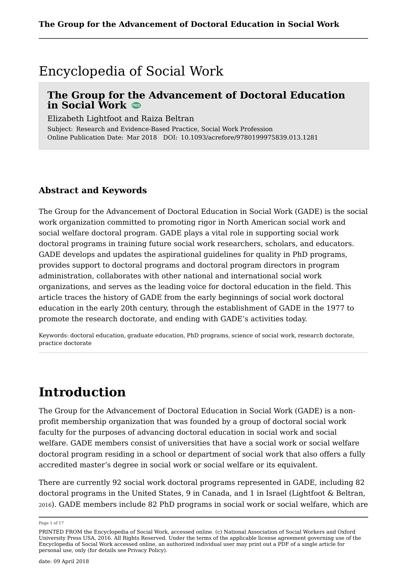### Encyclopedia of Social Work

### **The Group for the Advancement of Doctoral Education in Social Work**

Elizabeth Lightfoot and Raiza Beltran

Subject: Research and Evidence-Based Practice, Social Work Profession Online Publication Date: Mar 2018 DOI: 10.1093/acrefore/9780199975839.013.1281

### **Abstract and Keywords**

The Group for the Advancement of Doctoral Education in Social Work (GADE) is the social work organization committed to promoting rigor in North American social work and social welfare doctoral program. GADE plays a vital role in supporting social work doctoral programs in training future social work researchers, scholars, and educators. GADE develops and updates the aspirational guidelines for quality in PhD programs, provides support to doctoral programs and doctoral program directors in program administration, collaborates with other national and international social work organizations, and serves as the leading voice for doctoral education in the field. This article traces the history of GADE from the early beginnings of social work doctoral education in the early 20th century, through the establishment of GADE in the 1977 to promote the research doctorate, and ending with GADE's activities today.

Keywords: doctoral education, graduate education, PhD programs, science of social work, research doctorate, practice doctorate

### **Introduction**

The Group for the Advancement of Doctoral Education in Social Work (GADE) is a nonprofit membership organization that was founded by a group of doctoral social work faculty for the purposes of advancing doctoral education in social work and social welfare. GADE members consist of universities that have a social work or social welfare doctoral program residing in a school or department of social work that also offers a fully accredited master's degree in social work or social welfare or its equivalent.

There are currently 92 social work doctoral programs represented in GADE, including 82 doctoral programs in the United States, 9 in Canada, and 1 in Israel (Lightfoot & Beltran, <sup>2016</sup>). GADE members include 82 PhD programs in social work or social welfare, which are

Page 1 of 17

PRINTED FROM the Encyclopedia of Social Work, accessed online. (c) National Association of Social Workers and Oxford University Press USA, 2016. All Rights Reserved. Under the terms of the applicable license agreement governing use of the Encyclopedia of Social Work accessed online, an authorized individual user may print out a PDF of a single article for personal use, only (for details see Privacy Policy).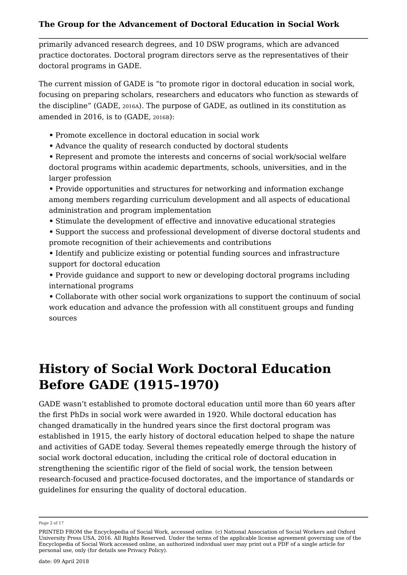primarily advanced research degrees, and 10 DSW programs, which are advanced practice doctorates. Doctoral program directors serve as the representatives of their doctoral programs in GADE.

The current mission of GADE is "to promote rigor in doctoral education in social work, focusing on preparing scholars, researchers and educators who function as stewards of the discipline" (GADE, 2016A). The purpose of GADE, as outlined in its constitution as amended in 2016, is to (GADE, 2016B):

- **•** Promote excellence in doctoral education in social work
- **•** Advance the quality of research conducted by doctoral students

**•** Represent and promote the interests and concerns of social work/social welfare doctoral programs within academic departments, schools, universities, and in the larger profession

**•** Provide opportunities and structures for networking and information exchange among members regarding curriculum development and all aspects of educational administration and program implementation

**•** Stimulate the development of effective and innovative educational strategies

**•** Support the success and professional development of diverse doctoral students and promote recognition of their achievements and contributions

**•** Identify and publicize existing or potential funding sources and infrastructure support for doctoral education

**•** Provide guidance and support to new or developing doctoral programs including international programs

**•** Collaborate with other social work organizations to support the continuum of social work education and advance the profession with all constituent groups and funding sources

# **History of Social Work Doctoral Education Before GADE (1915–1970)**

GADE wasn't established to promote doctoral education until more than 60 years after the first PhDs in social work were awarded in 1920. While doctoral education has changed dramatically in the hundred years since the first doctoral program was established in 1915, the early history of doctoral education helped to shape the nature and activities of GADE today. Several themes repeatedly emerge through the history of social work doctoral education, including the critical role of doctoral education in strengthening the scientific rigor of the field of social work, the tension between research-focused and practice-focused doctorates, and the importance of standards or guidelines for ensuring the quality of doctoral education.

Page 2 of 17

PRINTED FROM the Encyclopedia of Social Work, accessed online. (c) National Association of Social Workers and Oxford University Press USA, 2016. All Rights Reserved. Under the terms of the applicable license agreement governing use of the Encyclopedia of Social Work accessed online, an authorized individual user may print out a PDF of a single article for personal use, only (for details see Privacy Policy).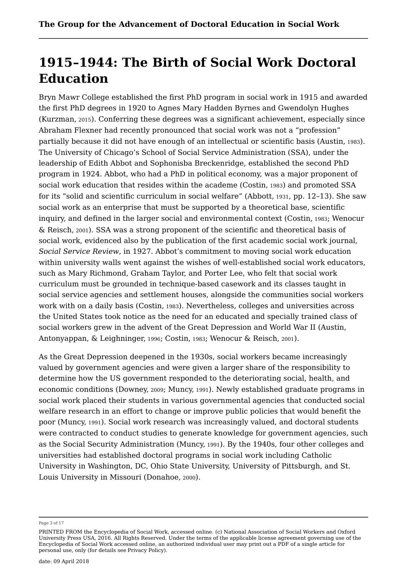# **1915–1944: The Birth of Social Work Doctoral Education**

Bryn Mawr College established the first PhD program in social work in 1915 and awarded the first PhD degrees in 1920 to Agnes Mary Hadden Byrnes and Gwendolyn Hughes (Kurzman, <sup>2015</sup>). Conferring these degrees was a significant achievement, especially since Abraham Flexner had recently pronounced that social work was not a "profession" partially because it did not have enough of an intellectual or scientific basis (Austin, <sup>1983</sup>). The University of Chicago's School of Social Service Administration (SSA), under the leadership of Edith Abbot and Sophonisba Breckenridge, established the second PhD program in 1924. Abbot, who had a PhD in political economy, was a major proponent of social work education that resides within the academe (Costin, <sup>1983</sup>) and promoted SSA for its "solid and scientific curriculum in social welfare" (Abbott, <sup>1931</sup>, pp. 12–13). She saw social work as an enterprise that must be supported by a theoretical base, scientific inquiry, and defined in the larger social and environmental context (Costin, <sup>1983</sup>; Wenocur & Reisch, 2001). SSA was a strong proponent of the scientific and theoretical basis of social work, evidenced also by the publication of the first academic social work journal, *Social Service Review*, in 1927. Abbot's commitment to moving social work education within university walls went against the wishes of well-established social work educators, such as Mary Richmond, Graham Taylor, and Porter Lee, who felt that social work curriculum must be grounded in technique-based casework and its classes taught in social service agencies and settlement houses, alongside the communities social workers work with on a daily basis (Costin, 1983). Nevertheless, colleges and universities across the United States took notice as the need for an educated and specially trained class of social workers grew in the advent of the Great Depression and World War II (Austin, Antonyappan, & Leighninger, 1996; Costin, 1983; Wenocur & Reisch, 2001).

As the Great Depression deepened in the 1930s, social workers became increasingly valued by government agencies and were given a larger share of the responsibility to determine how the US government responded to the deteriorating social, health, and economic conditions (Downey, 2009; Muncy, 1991). Newly established graduate programs in social work placed their students in various governmental agencies that conducted social welfare research in an effort to change or improve public policies that would benefit the poor (Muncy, <sup>1991</sup>). Social work research was increasingly valued, and doctoral students were contracted to conduct studies to generate knowledge for government agencies, such as the Social Security Administration (Muncy, <sup>1991</sup>). By the 1940s, four other colleges and universities had established doctoral programs in social work including Catholic University in Washington, DC, Ohio State University, University of Pittsburgh, and St. Louis University in Missouri (Donahoe, <sup>2000</sup>).

Page 3 of 17

PRINTED FROM the Encyclopedia of Social Work, accessed online. (c) National Association of Social Workers and Oxford University Press USA, 2016. All Rights Reserved. Under the terms of the applicable license agreement governing use of the Encyclopedia of Social Work accessed online, an authorized individual user may print out a PDF of a single article for personal use, only (for details see Privacy Policy).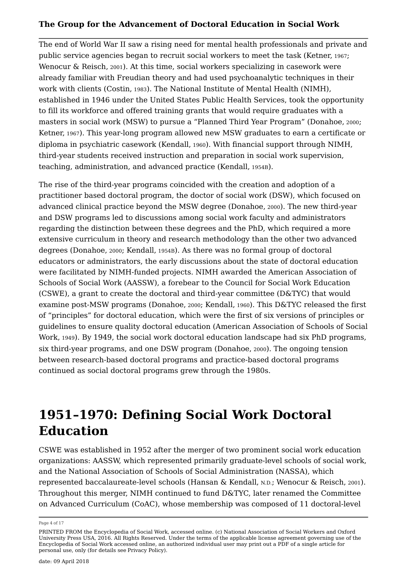The end of World War II saw a rising need for mental health professionals and private and public service agencies began to recruit social workers to meet the task (Ketner, <sup>1967</sup>; Wenocur & Reisch, <sup>2001</sup>). At this time, social workers specializing in casework were already familiar with Freudian theory and had used psychoanalytic techniques in their work with clients (Costin, <sup>1983</sup>). The National Institute of Mental Health (NIMH), established in 1946 under the United States Public Health Services, took the opportunity to fill its workforce and offered training grants that would require graduates with a masters in social work (MSW) to pursue a "Planned Third Year Program" (Donahoe, <sup>2000</sup>; Ketner, <sup>1967</sup>). This year-long program allowed new MSW graduates to earn a certificate or diploma in psychiatric casework (Kendall, <sup>1960</sup>). With financial support through NIMH, third-year students received instruction and preparation in social work supervision, teaching, administration, and advanced practice (Kendall, 1954B).

The rise of the third-year programs coincided with the creation and adoption of a practitioner based doctoral program, the doctor of social work (DSW), which focused on advanced clinical practice beyond the MSW degree (Donahoe, <sup>2000</sup>). The new third-year and DSW programs led to discussions among social work faculty and administrators regarding the distinction between these degrees and the PhD, which required a more extensive curriculum in theory and research methodology than the other two advanced degrees (Donahoe, 2000; Kendall, 1954B). As there was no formal group of doctoral educators or administrators, the early discussions about the state of doctoral education were facilitated by NIMH-funded projects. NIMH awarded the American Association of Schools of Social Work (AASSW), a forebear to the Council for Social Work Education (CSWE), a grant to create the doctoral and third-year committee (D&TYC) that would examine post-MSW programs (Donahoe, 2000; Kendall, 1960). This D&TYC released the first of "principles" for doctoral education, which were the first of six versions of principles or guidelines to ensure quality doctoral education (American Association of Schools of Social Work, 1949). By 1949, the social work doctoral education landscape had six PhD programs, six third-year programs, and one DSW program (Donahoe, 2000). The ongoing tension between research-based doctoral programs and practice-based doctoral programs continued as social doctoral programs grew through the 1980s.

# **1951–1970: Defining Social Work Doctoral Education**

CSWE was established in 1952 after the merger of two prominent social work education organizations: AASSW, which represented primarily graduate-level schools of social work, and the National Association of Schools of Social Administration (NASSA), which represented baccalaureate-level schools (Hansan & Kendall, N.D.; Wenocur & Reisch, <sup>2001</sup>). Throughout this merger, NIMH continued to fund D&TYC, later renamed the Committee on Advanced Curriculum (CoAC), whose membership was composed of 11 doctoral-level

Page 4 of 17

PRINTED FROM the Encyclopedia of Social Work, accessed online. (c) National Association of Social Workers and Oxford University Press USA, 2016. All Rights Reserved. Under the terms of the applicable license agreement governing use of the Encyclopedia of Social Work accessed online, an authorized individual user may print out a PDF of a single article for personal use, only (for details see Privacy Policy).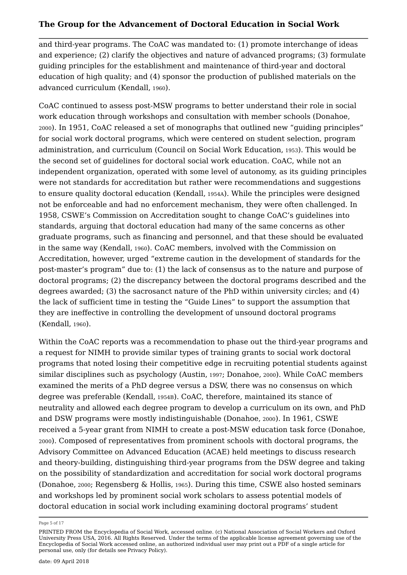and third-year programs. The CoAC was mandated to: (1) promote interchange of ideas and experience; (2) clarify the objectives and nature of advanced programs; (3) formulate guiding principles for the establishment and maintenance of third-year and doctoral education of high quality; and (4) sponsor the production of published materials on the advanced curriculum (Kendall, <sup>1960</sup>).

CoAC continued to assess post-MSW programs to better understand their role in social work education through workshops and consultation with member schools (Donahoe, <sup>2000</sup>). In 1951, CoAC released a set of monographs that outlined new "guiding principles" for social work doctoral programs, which were centered on student selection, program administration, and curriculum (Council on Social Work Education, <sup>1953</sup>). This would be the second set of guidelines for doctoral social work education. CoAC, while not an independent organization, operated with some level of autonomy, as its guiding principles were not standards for accreditation but rather were recommendations and suggestions to ensure quality doctoral education (Kendall, 1954A). While the principles were designed not be enforceable and had no enforcement mechanism, they were often challenged. In 1958, CSWE's Commission on Accreditation sought to change CoAC's guidelines into standards, arguing that doctoral education had many of the same concerns as other graduate programs, such as financing and personnel, and that these should be evaluated in the same way (Kendall, 1960). CoAC members, involved with the Commission on Accreditation, however, urged "extreme caution in the development of standards for the post-master's program" due to: (1) the lack of consensus as to the nature and purpose of doctoral programs; (2) the discrepancy between the doctoral programs described and the degrees awarded; (3) the sacrosanct nature of the PhD within university circles; and (4) the lack of sufficient time in testing the "Guide Lines" to support the assumption that they are ineffective in controlling the development of unsound doctoral programs (Kendall, 1960).

Within the CoAC reports was a recommendation to phase out the third-year programs and a request for NIMH to provide similar types of training grants to social work doctoral programs that noted losing their competitive edge in recruiting potential students against similar disciplines such as psychology (Austin, 1997; Donahoe, 2000). While CoAC members examined the merits of a PhD degree versus a DSW, there was no consensus on which degree was preferable (Kendall, 1954B). CoAC, therefore, maintained its stance of neutrality and allowed each degree program to develop a curriculum on its own, and PhD and DSW programs were mostly indistinguishable (Donahoe, <sup>2000</sup>). In 1961, CSWE received a 5-year grant from NIMH to create a post-MSW education task force (Donahoe, <sup>2000</sup>). Composed of representatives from prominent schools with doctoral programs, the Advisory Committee on Advanced Education (ACAE) held meetings to discuss research and theory-building, distinguishing third-year programs from the DSW degree and taking on the possibility of standardization and accreditation for social work doctoral programs (Donahoe, <sup>2000</sup>; Regensberg & Hollis, <sup>1965</sup>). During this time, CSWE also hosted seminars and workshops led by prominent social work scholars to assess potential models of doctoral education in social work including examining doctoral programs' student

Page 5 of 17

PRINTED FROM the Encyclopedia of Social Work, accessed online. (c) National Association of Social Workers and Oxford University Press USA, 2016. All Rights Reserved. Under the terms of the applicable license agreement governing use of the Encyclopedia of Social Work accessed online, an authorized individual user may print out a PDF of a single article for personal use, only (for details see Privacy Policy).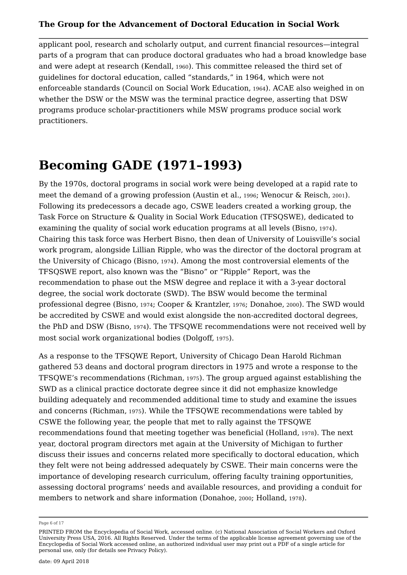applicant pool, research and scholarly output, and current financial resources—integral parts of a program that can produce doctoral graduates who had a broad knowledge base and were adept at research (Kendall, <sup>1960</sup>). This committee released the third set of guidelines for doctoral education, called "standards," in 1964, which were not enforceable standards (Council on Social Work Education, <sup>1964</sup>). ACAE also weighed in on whether the DSW or the MSW was the terminal practice degree, asserting that DSW programs produce scholar-practitioners while MSW programs produce social work practitioners.

# **Becoming GADE (1971–1993)**

By the 1970s, doctoral programs in social work were being developed at a rapid rate to meet the demand of a growing profession (Austin et al., <sup>1996</sup>; Wenocur & Reisch, <sup>2001</sup>). Following its predecessors a decade ago, CSWE leaders created a working group, the Task Force on Structure & Quality in Social Work Education (TFSQSWE), dedicated to examining the quality of social work education programs at all levels (Bisno, 1974). Chairing this task force was Herbert Bisno, then dean of University of Louisville's social work program, alongside Lillian Ripple, who was the director of the doctoral program at the University of Chicago (Bisno, 1974). Among the most controversial elements of the TFSQSWE report, also known was the "Bisno" or "Ripple" Report, was the recommendation to phase out the MSW degree and replace it with a 3-year doctoral degree, the social work doctorate (SWD). The BSW would become the terminal professional degree (Bisno, 1974; Cooper & Krantzler, 1976; Donahoe, 2000). The SWD would be accredited by CSWE and would exist alongside the non-accredited doctoral degrees, the PhD and DSW (Bisno, 1974). The TFSQWE recommendations were not received well by most social work organizational bodies (Dolgoff, 1975).

As a response to the TFSQWE Report, University of Chicago Dean Harold Richman gathered 53 deans and doctoral program directors in 1975 and wrote a response to the TFSQWE's recommendations (Richman, 1975). The group argued against establishing the SWD as a clinical practice doctorate degree since it did not emphasize knowledge building adequately and recommended additional time to study and examine the issues and concerns (Richman, <sup>1975</sup>). While the TFSQWE recommendations were tabled by CSWE the following year, the people that met to rally against the TFSQWE recommendations found that meeting together was beneficial (Holland, <sup>1978</sup>). The next year, doctoral program directors met again at the University of Michigan to further discuss their issues and concerns related more specifically to doctoral education, which they felt were not being addressed adequately by CSWE. Their main concerns were the importance of developing research curriculum, offering faculty training opportunities, assessing doctoral programs' needs and available resources, and providing a conduit for members to network and share information (Donahoe, <sup>2000</sup>; Holland, <sup>1978</sup>).

Page 6 of 17

PRINTED FROM the Encyclopedia of Social Work, accessed online. (c) National Association of Social Workers and Oxford University Press USA, 2016. All Rights Reserved. Under the terms of the applicable license agreement governing use of the Encyclopedia of Social Work accessed online, an authorized individual user may print out a PDF of a single article for personal use, only (for details see Privacy Policy).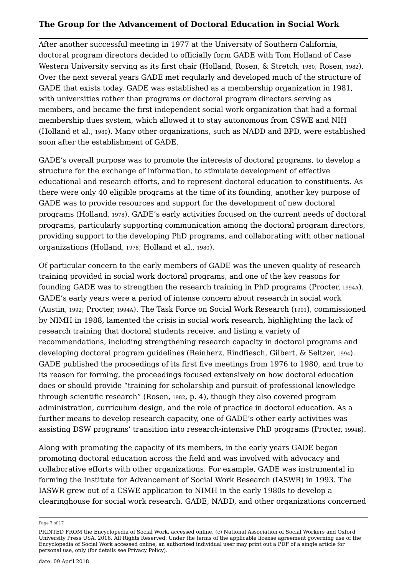After another successful meeting in 1977 at the University of Southern California, doctoral program directors decided to officially form GADE with Tom Holland of Case Western University serving as its first chair (Holland, Rosen, & Stretch, 1980; Rosen, 1982). Over the next several years GADE met regularly and developed much of the structure of GADE that exists today. GADE was established as a membership organization in 1981, with universities rather than programs or doctoral program directors serving as members, and became the first independent social work organization that had a formal membership dues system, which allowed it to stay autonomous from CSWE and NIH (Holland et al., <sup>1980</sup>). Many other organizations, such as NADD and BPD, were established soon after the establishment of GADE.

GADE's overall purpose was to promote the interests of doctoral programs, to develop a structure for the exchange of information, to stimulate development of effective educational and research efforts, and to represent doctoral education to constituents. As there were only 40 eligible programs at the time of its founding, another key purpose of GADE was to provide resources and support for the development of new doctoral programs (Holland, <sup>1978</sup>). GADE's early activities focused on the current needs of doctoral programs, particularly supporting communication among the doctoral program directors, providing support to the developing PhD programs, and collaborating with other national organizations (Holland, 1978; Holland et al., 1980).

Of particular concern to the early members of GADE was the uneven quality of research training provided in social work doctoral programs, and one of the key reasons for founding GADE was to strengthen the research training in PhD programs (Procter, 1994A). GADE's early years were a period of intense concern about research in social work (Austin, 1992; Procter, 1994A). The Task Force on Social Work Research (1991), commissioned by NIMH in 1988, lamented the crisis in social work research, highlighting the lack of research training that doctoral students receive, and listing a variety of recommendations, including strengthening research capacity in doctoral programs and developing doctoral program guidelines (Reinherz, Rindfiesch, Gilbert, & Seltzer, 1994). GADE published the proceedings of its first five meetings from 1976 to 1980, and true to its reason for forming, the proceedings focused extensively on how doctoral education does or should provide "training for scholarship and pursuit of professional knowledge through scientific research" (Rosen, <sup>1982</sup>, p. 4), though they also covered program administration, curriculum design, and the role of practice in doctoral education. As a further means to develop research capacity, one of GADE's other early activities was assisting DSW programs' transition into research-intensive PhD programs (Procter, 1994B).

Along with promoting the capacity of its members, in the early years GADE began promoting doctoral education across the field and was involved with advocacy and collaborative efforts with other organizations. For example, GADE was instrumental in forming the Institute for Advancement of Social Work Research (IASWR) in 1993. The IASWR grew out of a CSWE application to NIMH in the early 1980s to develop a clearinghouse for social work research. GADE, NADD, and other organizations concerned

Page 7 of 17

PRINTED FROM the Encyclopedia of Social Work, accessed online. (c) National Association of Social Workers and Oxford University Press USA, 2016. All Rights Reserved. Under the terms of the applicable license agreement governing use of the Encyclopedia of Social Work accessed online, an authorized individual user may print out a PDF of a single article for personal use, only (for details see Privacy Policy).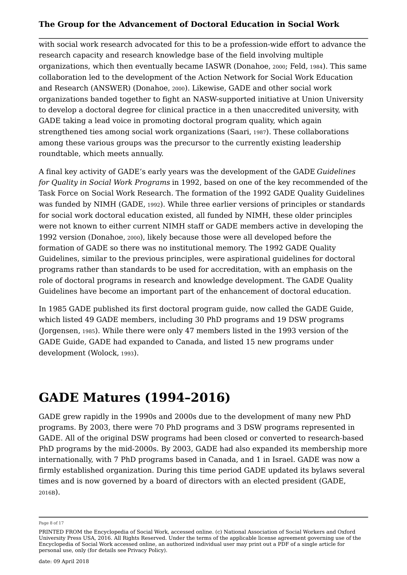with social work research advocated for this to be a profession-wide effort to advance the research capacity and research knowledge base of the field involving multiple organizations, which then eventually became IASWR (Donahoe, <sup>2000</sup>; Feld, <sup>1984</sup>). This same collaboration led to the development of the Action Network for Social Work Education and Research (ANSWER) (Donahoe, <sup>2000</sup>). Likewise, GADE and other social work organizations banded together to fight an NASW-supported initiative at Union University to develop a doctoral degree for clinical practice in a then unaccredited university, with GADE taking a lead voice in promoting doctoral program quality, which again strengthened ties among social work organizations (Saari, <sup>1987</sup>). These collaborations among these various groups was the precursor to the currently existing leadership roundtable, which meets annually.

A final key activity of GADE's early years was the development of the GADE *Guidelines for Quality in Social Work Programs* in 1992, based on one of the key recommended of the Task Force on Social Work Research. The formation of the 1992 GADE Quality Guidelines was funded by NIMH (GADE, <sup>1992</sup>). While three earlier versions of principles or standards for social work doctoral education existed, all funded by NIMH, these older principles were not known to either current NIMH staff or GADE members active in developing the 1992 version (Donahoe, 2000), likely because those were all developed before the formation of GADE so there was no institutional memory. The 1992 GADE Quality Guidelines, similar to the previous principles, were aspirational guidelines for doctoral programs rather than standards to be used for accreditation, with an emphasis on the role of doctoral programs in research and knowledge development. The GADE Quality Guidelines have become an important part of the enhancement of doctoral education.

In 1985 GADE published its first doctoral program guide, now called the GADE Guide, which listed 49 GADE members, including 30 PhD programs and 19 DSW programs (Jorgensen, 1985). While there were only 47 members listed in the 1993 version of the GADE Guide, GADE had expanded to Canada, and listed 15 new programs under development (Wolock, 1993).

# **GADE Matures (1994–2016)**

GADE grew rapidly in the 1990s and 2000s due to the development of many new PhD programs. By 2003, there were 70 PhD programs and 3 DSW programs represented in GADE. All of the original DSW programs had been closed or converted to research-based PhD programs by the mid-2000s. By 2003, GADE had also expanded its membership more internationally, with 7 PhD programs based in Canada, and 1 in Israel. GADE was now a firmly established organization. During this time period GADE updated its bylaws several times and is now governed by a board of directors with an elected president (GADE, 2016B).

Page 8 of 17

PRINTED FROM the Encyclopedia of Social Work, accessed online. (c) National Association of Social Workers and Oxford University Press USA, 2016. All Rights Reserved. Under the terms of the applicable license agreement governing use of the Encyclopedia of Social Work accessed online, an authorized individual user may print out a PDF of a single article for personal use, only (for details see Privacy Policy).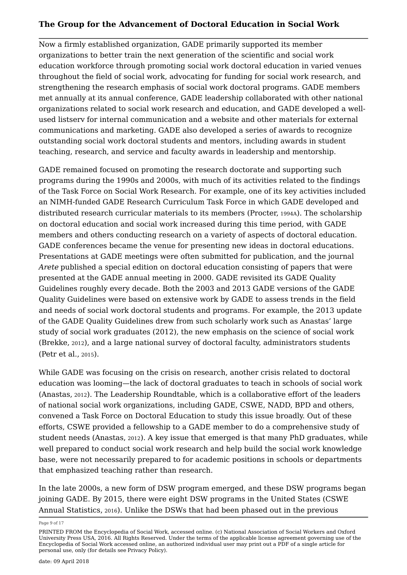Now a firmly established organization, GADE primarily supported its member organizations to better train the next generation of the scientific and social work education workforce through promoting social work doctoral education in varied venues throughout the field of social work, advocating for funding for social work research, and strengthening the research emphasis of social work doctoral programs. GADE members met annually at its annual conference, GADE leadership collaborated with other national organizations related to social work research and education, and GADE developed a wellused listserv for internal communication and a website and other materials for external communications and marketing. GADE also developed a series of awards to recognize outstanding social work doctoral students and mentors, including awards in student teaching, research, and service and faculty awards in leadership and mentorship.

GADE remained focused on promoting the research doctorate and supporting such programs during the 1990s and 2000s, with much of its activities related to the findings of the Task Force on Social Work Research. For example, one of its key activities included an NIMH-funded GADE Research Curriculum Task Force in which GADE developed and distributed research curricular materials to its members (Procter, 1994A). The scholarship on doctoral education and social work increased during this time period, with GADE members and others conducting research on a variety of aspects of doctoral education. GADE conferences became the venue for presenting new ideas in doctoral educations. Presentations at GADE meetings were often submitted for publication, and the journal *Arete* published a special edition on doctoral education consisting of papers that were presented at the GADE annual meeting in 2000. GADE revisited its GADE Quality Guidelines roughly every decade. Both the 2003 and 2013 GADE versions of the GADE Quality Guidelines were based on extensive work by GADE to assess trends in the field and needs of social work doctoral students and programs. For example, the 2013 update of the GADE Quality Guidelines drew from such scholarly work such as Anastas' large study of social work graduates (2012), the new emphasis on the science of social work (Brekke, 2012), and a large national survey of doctoral faculty, administrators students (Petr et al., 2015).

While GADE was focusing on the crisis on research, another crisis related to doctoral education was looming—the lack of doctoral graduates to teach in schools of social work (Anastas, 2012). The Leadership Roundtable, which is a collaborative effort of the leaders of national social work organizations, including GADE, CSWE, NADD, BPD and others, convened a Task Force on Doctoral Education to study this issue broadly. Out of these efforts, CSWE provided a fellowship to a GADE member to do a comprehensive study of student needs (Anastas, <sup>2012</sup>). A key issue that emerged is that many PhD graduates, while well prepared to conduct social work research and help build the social work knowledge base, were not necessarily prepared to for academic positions in schools or departments that emphasized teaching rather than research.

In the late 2000s, a new form of DSW program emerged, and these DSW programs began joining GADE. By 2015, there were eight DSW programs in the United States (CSWE Annual Statistics, <sup>2016</sup>). Unlike the DSWs that had been phased out in the previous

Page 9 of 17

PRINTED FROM the Encyclopedia of Social Work, accessed online. (c) National Association of Social Workers and Oxford University Press USA, 2016. All Rights Reserved. Under the terms of the applicable license agreement governing use of the Encyclopedia of Social Work accessed online, an authorized individual user may print out a PDF of a single article for personal use, only (for details see Privacy Policy).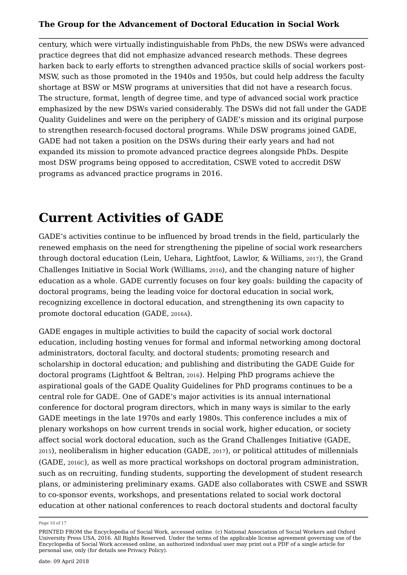century, which were virtually indistinguishable from PhDs, the new DSWs were advanced practice degrees that did not emphasize advanced research methods. These degrees harken back to early efforts to strengthen advanced practice skills of social workers post-MSW, such as those promoted in the 1940s and 1950s, but could help address the faculty shortage at BSW or MSW programs at universities that did not have a research focus. The structure, format, length of degree time, and type of advanced social work practice emphasized by the new DSWs varied considerably. The DSWs did not fall under the GADE Quality Guidelines and were on the periphery of GADE's mission and its original purpose to strengthen research-focused doctoral programs. While DSW programs joined GADE, GADE had not taken a position on the DSWs during their early years and had not expanded its mission to promote advanced practice degrees alongside PhDs. Despite most DSW programs being opposed to accreditation, CSWE voted to accredit DSW programs as advanced practice programs in 2016.

### **Current Activities of GADE**

GADE's activities continue to be influenced by broad trends in the field, particularly the renewed emphasis on the need for strengthening the pipeline of social work researchers through doctoral education (Lein, Uehara, Lightfoot, Lawlor, & Williams, 2017), the Grand Challenges Initiative in Social Work (Williams, 2016), and the changing nature of higher education as a whole. GADE currently focuses on four key goals: building the capacity of doctoral programs, being the leading voice for doctoral education in social work, recognizing excellence in doctoral education, and strengthening its own capacity to promote doctoral education (GADE, 2016A).

GADE engages in multiple activities to build the capacity of social work doctoral education, including hosting venues for formal and informal networking among doctoral administrators, doctoral faculty, and doctoral students; promoting research and scholarship in doctoral education; and publishing and distributing the GADE Guide for doctoral programs (Lightfoot & Beltran, 2016). Helping PhD programs achieve the aspirational goals of the GADE Quality Guidelines for PhD programs continues to be a central role for GADE. One of GADE's major activities is its annual international conference for doctoral program directors, which in many ways is similar to the early GADE meetings in the late 1970s and early 1980s. This conference includes a mix of plenary workshops on how current trends in social work, higher education, or society affect social work doctoral education, such as the Grand Challenges Initiative (GADE, <sup>2015</sup>), neoliberalism in higher education (GADE, <sup>2017</sup>), or political attitudes of millennials (GADE, 2016C), as well as more practical workshops on doctoral program administration, such as on recruiting, funding students, supporting the development of student research plans, or administering preliminary exams. GADE also collaborates with CSWE and SSWR to co-sponsor events, workshops, and presentations related to social work doctoral education at other national conferences to reach doctoral students and doctoral faculty

Page 10 of 17

PRINTED FROM the Encyclopedia of Social Work, accessed online. (c) National Association of Social Workers and Oxford University Press USA, 2016. All Rights Reserved. Under the terms of the applicable license agreement governing use of the Encyclopedia of Social Work accessed online, an authorized individual user may print out a PDF of a single article for personal use, only (for details see Privacy Policy).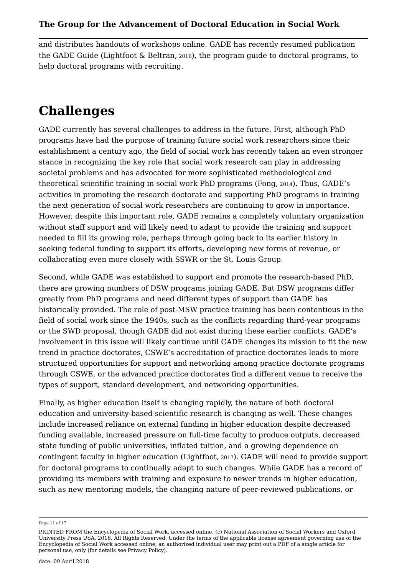and distributes handouts of workshops online. GADE has recently resumed publication the GADE Guide (Lightfoot & Beltran, <sup>2016</sup>), the program guide to doctoral programs, to help doctoral programs with recruiting.

# **Challenges**

GADE currently has several challenges to address in the future. First, although PhD programs have had the purpose of training future social work researchers since their establishment a century ago, the field of social work has recently taken an even stronger stance in recognizing the key role that social work research can play in addressing societal problems and has advocated for more sophisticated methodological and theoretical scientific training in social work PhD programs (Fong, <sup>2014</sup>). Thus, GADE's activities in promoting the research doctorate and supporting PhD programs in training the next generation of social work researchers are continuing to grow in importance. However, despite this important role, GADE remains a completely voluntary organization without staff support and will likely need to adapt to provide the training and support needed to fill its growing role, perhaps through going back to its earlier history in seeking federal funding to support its efforts, developing new forms of revenue, or collaborating even more closely with SSWR or the St. Louis Group.

Second, while GADE was established to support and promote the research-based PhD, there are growing numbers of DSW programs joining GADE. But DSW programs differ greatly from PhD programs and need different types of support than GADE has historically provided. The role of post-MSW practice training has been contentious in the field of social work since the 1940s, such as the conflicts regarding third-year programs or the SWD proposal, though GADE did not exist during these earlier conflicts. GADE's involvement in this issue will likely continue until GADE changes its mission to fit the new trend in practice doctorates, CSWE's accreditation of practice doctorates leads to more structured opportunities for support and networking among practice doctorate programs through CSWE, or the advanced practice doctorates find a different venue to receive the types of support, standard development, and networking opportunities.

Finally, as higher education itself is changing rapidly, the nature of both doctoral education and university-based scientific research is changing as well. These changes include increased reliance on external funding in higher education despite decreased funding available, increased pressure on full-time faculty to produce outputs, decreased state funding of public universities, inflated tuition, and a growing dependence on contingent faculty in higher education (Lightfoot, <sup>2017</sup>). GADE will need to provide support for doctoral programs to continually adapt to such changes. While GADE has a record of providing its members with training and exposure to newer trends in higher education, such as new mentoring models, the changing nature of peer-reviewed publications, or

Page 11 of 17

PRINTED FROM the Encyclopedia of Social Work, accessed online. (c) National Association of Social Workers and Oxford University Press USA, 2016. All Rights Reserved. Under the terms of the applicable license agreement governing use of the Encyclopedia of Social Work accessed online, an authorized individual user may print out a PDF of a single article for personal use, only (for details see Privacy Policy).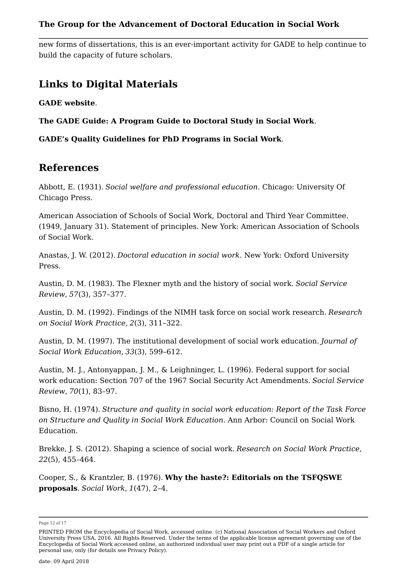new forms of dissertations, this is an ever-important activity for GADE to help continue to build the capacity of future scholars.

### **Links to Digital Materials**

**GADE website**.

**The GADE Guide: A Program Guide to Doctoral Study in Social Work**.

**GADE's Quality Guidelines for PhD Programs in Social Work**.

### **References**

Abbott, E. (1931). *Social welfare and professional education*. Chicago: University Of Chicago Press.

American Association of Schools of Social Work, Doctoral and Third Year Committee. (1949, January 31). Statement of principles. New York: American Association of Schools of Social Work.

Anastas, J. W. (2012). *Doctoral education in social work*. New York: Oxford University Press.

Austin, D. M. (1983). The Flexner myth and the history of social work. *Social Service Review*, *57*(3), 357–377.

Austin, D. M. (1992). Findings of the NIMH task force on social work research. *Research on Social Work Practice*, *2*(3), 311–322.

Austin, D. M. (1997). The institutional development of social work education. *Journal of Social Work Education*, *33*(3), 599–612.

Austin, M. J., Antonyappan, J. M., & Leighninger, L. (1996). Federal support for social work education: Section 707 of the 1967 Social Security Act Amendments. *Social Service Review*, *70*(1), 83–97.

Bisno, H. (1974). *Structure and quality in social work education: Report of the Task Force on Structure and Quality in Social Work Education*. Ann Arbor: Council on Social Work Education.

Brekke, J. S. (2012). Shaping a science of social work. *Research on Social Work Practice*, *22*(5), 455–464.

Cooper, S., & Krantzler, B. (1976). **Why the haste?: Editorials on the TSFQSWE proposals**. *Social Work*, *1*(47), 2–4.

Page 12 of 17

PRINTED FROM the Encyclopedia of Social Work, accessed online. (c) National Association of Social Workers and Oxford University Press USA, 2016. All Rights Reserved. Under the terms of the applicable license agreement governing use of the Encyclopedia of Social Work accessed online, an authorized individual user may print out a PDF of a single article for personal use, only (for details see Privacy Policy).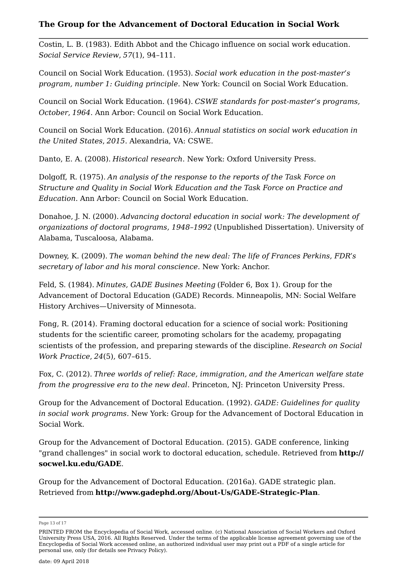Costin, L. B. (1983). Edith Abbot and the Chicago influence on social work education. *Social Service Review*, *57*(1), 94–111.

Council on Social Work Education. (1953). *Social work education in the post-master's program, number 1: Guiding principle*. New York: Council on Social Work Education.

Council on Social Work Education. (1964). *CSWE standards for post-master's programs, October*, *1964*. Ann Arbor: Council on Social Work Education.

Council on Social Work Education. (2016). *Annual statistics on social work education in the United States*, *2015*. Alexandria, VA: CSWE.

Danto, E. A. (2008). *Historical research*. New York: Oxford University Press.

Dolgoff, R. (1975). *An analysis of the response to the reports of the Task Force on Structure and Quality in Social Work Education and the Task Force on Practice and Education*. Ann Arbor: Council on Social Work Education.

Donahoe, J. N. (2000). *Advancing doctoral education in social work: The development of organizations of doctoral programs, 1948–1992* (Unpublished Dissertation). University of Alabama, Tuscaloosa, Alabama.

Downey, K. (2009). *The woman behind the new deal: The life of Frances Perkins, FDR's secretary of labor and his moral conscience*. New York: Anchor.

Feld, S. (1984). *Minutes, GADE Busines Meeting* (Folder 6, Box 1). Group for the Advancement of Doctoral Education (GADE) Records. Minneapolis, MN: Social Welfare History Archives—University of Minnesota.

Fong, R. (2014). Framing doctoral education for a science of social work: Positioning students for the scientific career, promoting scholars for the academy, propagating scientists of the profession, and preparing stewards of the discipline. *Research on Social Work Practice*, *24*(5), 607–615.

Fox, C. (2012). *Three worlds of relief: Race, immigration, and the American welfare state from the progressive era to the new deal*. Princeton, NJ: Princeton University Press.

Group for the Advancement of Doctoral Education. (1992). *GADE: Guidelines for quality in social work programs*. New York: Group for the Advancement of Doctoral Education in Social Work.

Group for the Advancement of Doctoral Education. (2015). GADE conference, linking "grand challenges" in social work to doctoral education, schedule. Retrieved from **http:// socwel.ku.edu/GADE**.

Group for the Advancement of Doctoral Education. (2016a). GADE strategic plan. Retrieved from **http://www.gadephd.org/About-Us/GADE-Strategic-Plan**.

Page 13 of 17

PRINTED FROM the Encyclopedia of Social Work, accessed online. (c) National Association of Social Workers and Oxford University Press USA, 2016. All Rights Reserved. Under the terms of the applicable license agreement governing use of the Encyclopedia of Social Work accessed online, an authorized individual user may print out a PDF of a single article for personal use, only (for details see Privacy Policy).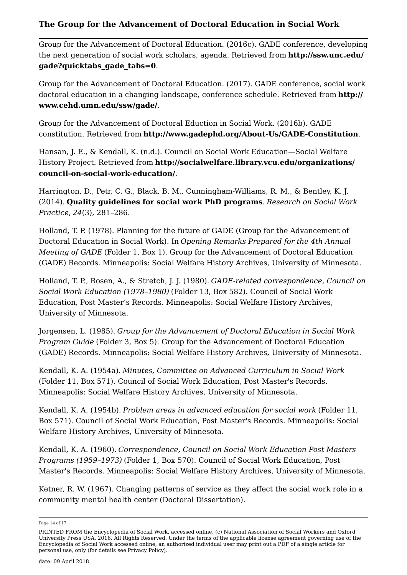Group for the Advancement of Doctoral Education. (2016c). GADE conference, developing the next generation of social work scholars, agenda. Retrieved from **http://ssw.unc.edu/ gade?quicktabs\_gade\_tabs=0**.

Group for the Advancement of Doctoral Education. (2017). GADE conference, social work doctoral education in a changing landscape, conference schedule. Retrieved from **http:// www.cehd.umn.edu/ssw/gade/**.

Group for the Advancement of Doctoral Eduction in Social Work. (2016b). GADE constitution. Retrieved from **http://www.gadephd.org/About-Us/GADE-Constitution**.

Hansan, J. E., & Kendall, K. (n.d.). Council on Social Work Education—Social Welfare History Project. Retrieved from **http://socialwelfare.library.vcu.edu/organizations/ council-on-social-work-education/**.

Harrington, D., Petr, C. G., Black, B. M., Cunningham-Williams, R. M., & Bentley, K. J. (2014). **Quality guidelines for social work PhD programs**. *Research on Social Work Practice*, *24*(3), 281–286.

Holland, T. P. (1978). Planning for the future of GADE (Group for the Advancement of Doctoral Education in Social Work). In *Opening Remarks Prepared for the 4th Annual Meeting of GADE* (Folder 1, Box 1). Group for the Advancement of Doctoral Education (GADE) Records. Minneapolis: Social Welfare History Archives, University of Minnesota.

Holland, T. P., Rosen, A., & Stretch, J. J. (1980). *GADE-related correspondence, Council on Social Work Education (1978–1980)* (Folder 13, Box 582). Council of Social Work Education, Post Master's Records. Minneapolis: Social Welfare History Archives, University of Minnesota.

Jorgensen, L. (1985). *Group for the Advancement of Doctoral Education in Social Work Program Guide* (Folder 3, Box 5). Group for the Advancement of Doctoral Education (GADE) Records. Minneapolis: Social Welfare History Archives, University of Minnesota.

Kendall, K. A. (1954a). *Minutes, Committee on Advanced Curriculum in Social Work* (Folder 11, Box 571). Council of Social Work Education, Post Master's Records. Minneapolis: Social Welfare History Archives, University of Minnesota.

Kendall, K. A. (1954b). *Problem areas in advanced education for social work* (Folder 11, Box 571). Council of Social Work Education, Post Master's Records. Minneapolis: Social Welfare History Archives, University of Minnesota.

Kendall, K. A. (1960). *Correspondence, Council on Social Work Education Post Masters Programs (1959–1973)* (Folder 1, Box 570). Council of Social Work Education, Post Master's Records. Minneapolis: Social Welfare History Archives, University of Minnesota.

Ketner, R. W. (1967). Changing patterns of service as they affect the social work role in a community mental health center (Doctoral Dissertation).

Page 14 of 17

PRINTED FROM the Encyclopedia of Social Work, accessed online. (c) National Association of Social Workers and Oxford University Press USA, 2016. All Rights Reserved. Under the terms of the applicable license agreement governing use of the Encyclopedia of Social Work accessed online, an authorized individual user may print out a PDF of a single article for personal use, only (for details see Privacy Policy).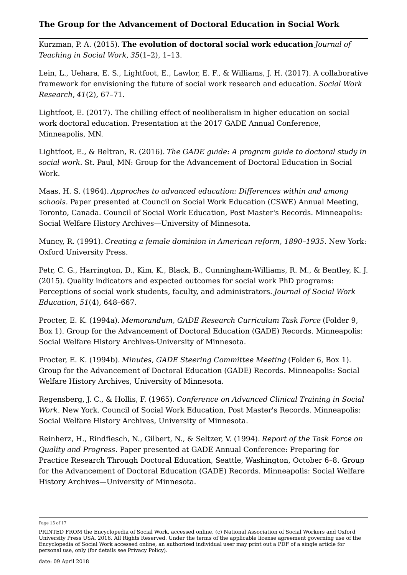Kurzman, P. A. (2015). **The evolution of doctoral social work education** *Journal of Teaching in Social Work*, *35*(1–2), 1–13.

Lein, L., Uehara, E. S., Lightfoot, E., Lawlor, E. F., & Williams, J. H. (2017). A collaborative framework for envisioning the future of social work research and education. *Social Work Research*, *41*(2), 67–71.

Lightfoot, E. (2017). The chilling effect of neoliberalism in higher education on social work doctoral education. Presentation at the 2017 GADE Annual Conference, Minneapolis, MN.

Lightfoot, E., & Beltran, R. (2016). *The GADE guide: A program guide to doctoral study in social work*. St. Paul, MN: Group for the Advancement of Doctoral Education in Social Work.

Maas, H. S. (1964). *Approches to advanced education: Differences within and among schools*. Paper presented at Council on Social Work Education (CSWE) Annual Meeting, Toronto, Canada. Council of Social Work Education, Post Master's Records. Minneapolis: Social Welfare History Archives—University of Minnesota.

Muncy, R. (1991). *Creating a female dominion in American reform, 1890–1935*. New York: Oxford University Press.

Petr, C. G., Harrington, D., Kim, K., Black, B., Cunningham-Williams, R. M., & Bentley, K. J. (2015). Quality indicators and expected outcomes for social work PhD programs: Perceptions of social work students, faculty, and administrators. *Journal of Social Work Education*, *51*(4), 648–667.

Procter, E. K. (1994a). *Memorandum, GADE Research Curriculum Task Force* (Folder 9, Box 1). Group for the Advancement of Doctoral Education (GADE) Records. Minneapolis: Social Welfare History Archives-University of Minnesota.

Procter, E. K. (1994b). *Minutes, GADE Steering Committee Meeting* (Folder 6, Box 1). Group for the Advancement of Doctoral Education (GADE) Records. Minneapolis: Social Welfare History Archives, University of Minnesota.

Regensberg, J. C., & Hollis, F. (1965). *Conference on Advanced Clinical Training in Social Work*. New York. Council of Social Work Education, Post Master's Records. Minneapolis: Social Welfare History Archives, University of Minnesota.

Reinherz, H., Rindfiesch, N., Gilbert, N., & Seltzer, V. (1994). *Report of the Task Force on Quality and Progress*. Paper presented at GADE Annual Conference: Preparing for Practice Research Through Doctoral Education, Seattle, Washington, October 6–8. Group for the Advancement of Doctoral Education (GADE) Records. Minneapolis: Social Welfare History Archives—University of Minnesota.

Page 15 of 17

PRINTED FROM the Encyclopedia of Social Work, accessed online. (c) National Association of Social Workers and Oxford University Press USA, 2016. All Rights Reserved. Under the terms of the applicable license agreement governing use of the Encyclopedia of Social Work accessed online, an authorized individual user may print out a PDF of a single article for personal use, only (for details see Privacy Policy).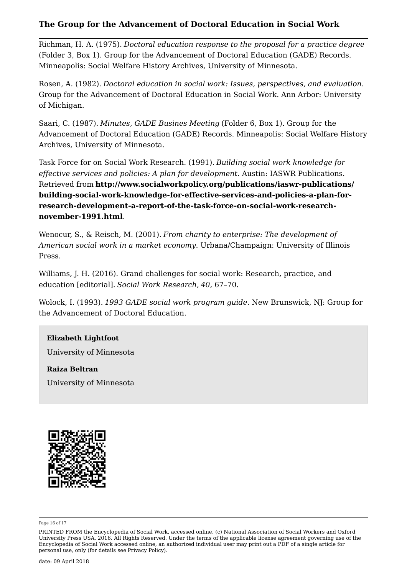Richman, H. A. (1975). *Doctoral education response to the proposal for a practice degree* (Folder 3, Box 1). Group for the Advancement of Doctoral Education (GADE) Records. Minneapolis: Social Welfare History Archives, University of Minnesota.

Rosen, A. (1982). *Doctoral education in social work: Issues, perspectives, and evaluation*. Group for the Advancement of Doctoral Education in Social Work. Ann Arbor: University of Michigan.

Saari, C. (1987). *Minutes, GADE Busines Meeting* (Folder 6, Box 1). Group for the Advancement of Doctoral Education (GADE) Records. Minneapolis: Social Welfare History Archives, University of Minnesota.

Task Force for on Social Work Research. (1991). *Building social work knowledge for effective services and policies: A plan for development*. Austin: IASWR Publications. Retrieved from **http://www.socialworkpolicy.org/publications/iaswr-publications/ building-social-work-knowledge-for-effective-services-and-policies-a-plan-forresearch-development-a-report-of-the-task-force-on-social-work-researchnovember-1991.html**.

Wenocur, S., & Reisch, M. (2001). *From charity to enterprise: The development of American social work in a market economy*. Urbana/Champaign: University of Illinois Press.

Williams, J. H. (2016). Grand challenges for social work: Research, practice, and education [editorial]. *Social Work Research*, *40*, 67–70.

Wolock, I. (1993). *1993 GADE social work program guide*. New Brunswick, NJ: Group for the Advancement of Doctoral Education.

#### **Elizabeth Lightfoot**

University of Minnesota

**Raiza Beltran** University of Minnesota



Page 16 of 17

PRINTED FROM the Encyclopedia of Social Work, accessed online. (c) National Association of Social Workers and Oxford University Press USA, 2016. All Rights Reserved. Under the terms of the applicable license agreement governing use of the Encyclopedia of Social Work accessed online, an authorized individual user may print out a PDF of a single article for personal use, only (for details see Privacy Policy).